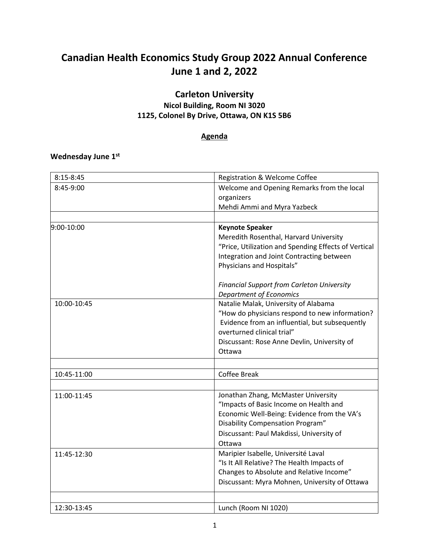# **Canadian Health Economics Study Group 2022 Annual Conference June 1 and 2, 2022**

# **Carleton University**

# **Nicol Building, Room NI 3020 1125, Colonel By Drive, Ottawa, ON K1S 5B6**

## **Agenda**

### **Wednesday June 1 st**

| $8:15 - 8:45$ | Registration & Welcome Coffee                        |
|---------------|------------------------------------------------------|
| 8:45-9:00     | Welcome and Opening Remarks from the local           |
|               | organizers                                           |
|               | Mehdi Ammi and Myra Yazbeck                          |
|               |                                                      |
| 9:00-10:00    | <b>Keynote Speaker</b>                               |
|               | Meredith Rosenthal, Harvard University               |
|               | "Price, Utilization and Spending Effects of Vertical |
|               | Integration and Joint Contracting between            |
|               | Physicians and Hospitals"                            |
|               | <b>Financial Support from Carleton University</b>    |
|               | <b>Department of Economics</b>                       |
| 10:00-10:45   | Natalie Malak, University of Alabama                 |
|               | "How do physicians respond to new information?       |
|               | Evidence from an influential, but subsequently       |
|               | overturned clinical trial"                           |
|               | Discussant: Rose Anne Devlin, University of          |
|               | Ottawa                                               |
|               |                                                      |
| 10:45-11:00   | Coffee Break                                         |
|               |                                                      |
| 11:00-11:45   | Jonathan Zhang, McMaster University                  |
|               | "Impacts of Basic Income on Health and               |
|               | Economic Well-Being: Evidence from the VA's          |
|               | Disability Compensation Program"                     |
|               | Discussant: Paul Makdissi, University of             |
|               | Ottawa                                               |
| 11:45-12:30   | Maripier Isabelle, Université Laval                  |
|               | "Is It All Relative? The Health Impacts of           |
|               | Changes to Absolute and Relative Income"             |
|               | Discussant: Myra Mohnen, University of Ottawa        |
|               |                                                      |
| 12:30-13:45   | Lunch (Room NI 1020)                                 |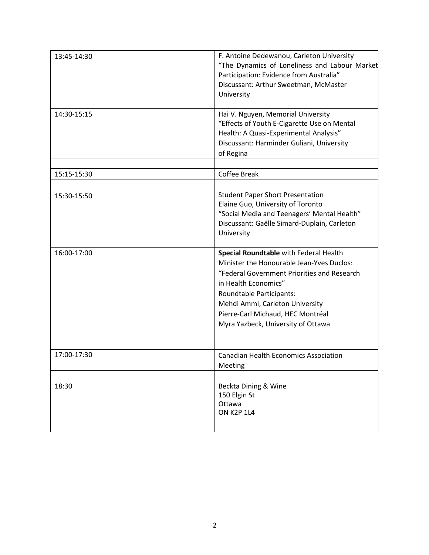| 13:45-14:30 | F. Antoine Dedewanou, Carleton University<br>"The Dynamics of Loneliness and Labour Market<br>Participation: Evidence from Australia"<br>Discussant: Arthur Sweetman, McMaster<br>University                                                                                                         |
|-------------|------------------------------------------------------------------------------------------------------------------------------------------------------------------------------------------------------------------------------------------------------------------------------------------------------|
| 14:30-15:15 | Hai V. Nguyen, Memorial University<br>"Effects of Youth E-Cigarette Use on Mental<br>Health: A Quasi-Experimental Analysis"<br>Discussant: Harminder Guliani, University<br>of Regina                                                                                                                |
| 15:15-15:30 | <b>Coffee Break</b>                                                                                                                                                                                                                                                                                  |
|             |                                                                                                                                                                                                                                                                                                      |
| 15:30-15:50 | <b>Student Paper Short Presentation</b><br>Elaine Guo, University of Toronto<br>"Social Media and Teenagers' Mental Health"<br>Discussant: Gaëlle Simard-Duplain, Carleton<br>University                                                                                                             |
| 16:00-17:00 | Special Roundtable with Federal Health<br>Minister the Honourable Jean-Yves Duclos:<br>"Federal Government Priorities and Research<br>in Health Economics"<br>Roundtable Participants:<br>Mehdi Ammi, Carleton University<br>Pierre-Carl Michaud, HEC Montréal<br>Myra Yazbeck, University of Ottawa |
| 17:00-17:30 | <b>Canadian Health Economics Association</b><br>Meeting                                                                                                                                                                                                                                              |
| 18:30       | Beckta Dining & Wine<br>150 Elgin St<br>Ottawa<br><b>ON K2P 1L4</b>                                                                                                                                                                                                                                  |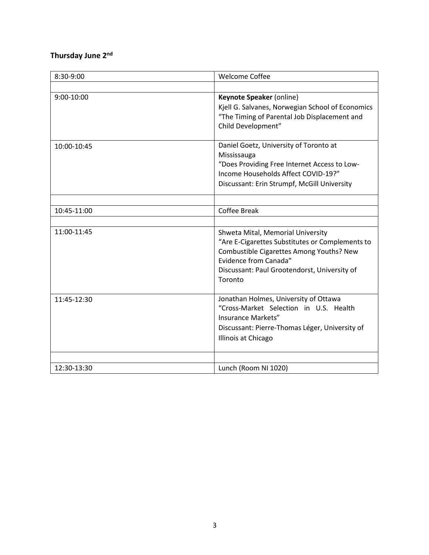### **Thursday June 2 nd**

| 8:30-9:00   | <b>Welcome Coffee</b>                                                                                                                                                                                                |
|-------------|----------------------------------------------------------------------------------------------------------------------------------------------------------------------------------------------------------------------|
|             |                                                                                                                                                                                                                      |
| 9:00-10:00  | Keynote Speaker (online)<br>Kjell G. Salvanes, Norwegian School of Economics<br>"The Timing of Parental Job Displacement and<br>Child Development"                                                                   |
| 10:00-10:45 | Daniel Goetz, University of Toronto at<br>Mississauga<br>"Does Providing Free Internet Access to Low-<br>Income Households Affect COVID-19?"<br>Discussant: Erin Strumpf, McGill University                          |
| 10:45-11:00 | <b>Coffee Break</b>                                                                                                                                                                                                  |
|             |                                                                                                                                                                                                                      |
| 11:00-11:45 | Shweta Mital, Memorial University<br>"Are E-Cigarettes Substitutes or Complements to<br>Combustible Cigarettes Among Youths? New<br>Evidence from Canada"<br>Discussant: Paul Grootendorst, University of<br>Toronto |
| 11:45-12:30 | Jonathan Holmes, University of Ottawa<br>"Cross-Market Selection in U.S. Health<br>Insurance Markets"<br>Discussant: Pierre-Thomas Léger, University of<br>Illinois at Chicago                                       |
| 12:30-13:30 | Lunch (Room NI 1020)                                                                                                                                                                                                 |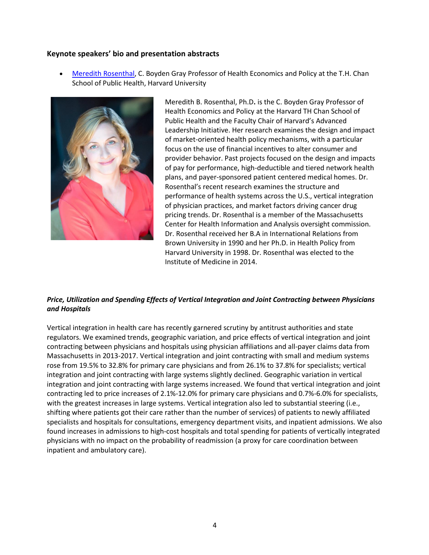#### **Keynote speakers' bio and presentation abstracts**

• [Meredith Rosenthal,](https://www.hsph.harvard.edu/profile/meredith-rosenthal/) C. Boyden Gray Professor of Health Economics and Policy at the T.H. Chan School of Public Health, Harvard University



Meredith B. Rosenthal, Ph.D**.** is the C. Boyden Gray Professor of Health Economics and Policy at the Harvard TH Chan School of Public Health and the Faculty Chair of Harvard's Advanced Leadership Initiative. Her research examines the design and impact of market-oriented health policy mechanisms, with a particular focus on the use of financial incentives to alter consumer and provider behavior. Past projects focused on the design and impacts of pay for performance, high-deductible and tiered network health plans, and payer-sponsored patient centered medical homes. Dr. Rosenthal's recent research examines the structure and performance of health systems across the U.S., vertical integration of physician practices, and market factors driving cancer drug pricing trends. Dr. Rosenthal is a member of the Massachusetts Center for Health Information and Analysis oversight commission. Dr. Rosenthal received her B.A in International Relations from Brown University in 1990 and her Ph.D. in Health Policy from Harvard University in 1998. Dr. Rosenthal was elected to the Institute of Medicine in 2014.

#### *Price, Utilization and Spending Effects of Vertical Integration and Joint Contracting between Physicians and Hospitals*

Vertical integration in health care has recently garnered scrutiny by antitrust authorities and state regulators. We examined trends, geographic variation, and price effects of vertical integration and joint contracting between physicians and hospitals using physician affiliations and all-payer claims data from Massachusetts in 2013-2017. Vertical integration and joint contracting with small and medium systems rose from 19.5% to 32.8% for primary care physicians and from 26.1% to 37.8% for specialists; vertical integration and joint contracting with large systems slightly declined. Geographic variation in vertical integration and joint contracting with large systems increased. We found that vertical integration and joint contracting led to price increases of 2.1%-12.0% for primary care physicians and 0.7%-6.0% for specialists, with the greatest increases in large systems. Vertical integration also led to substantial steering (i.e., shifting where patients got their care rather than the number of services) of patients to newly affiliated specialists and hospitals for consultations, emergency department visits, and inpatient admissions. We also found increases in admissions to high-cost hospitals and total spending for patients of vertically integrated physicians with no impact on the probability of readmission (a proxy for care coordination between inpatient and ambulatory care).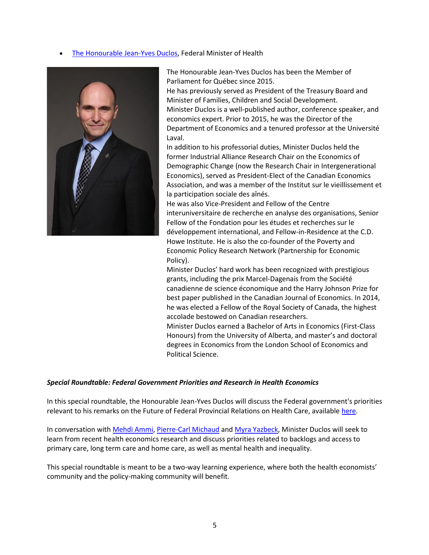[The Honourable Jean-Yves Duclos,](https://pm.gc.ca/en/cabinet/honourable-jean-yves-duclos) Federal Minister of Health



The Honourable Jean-Yves Duclos has been the Member of Parliament for Québec since 2015.

He has previously served as President of the Treasury Board and Minister of Families, Children and Social Development. Minister Duclos is a well-published author, conference speaker, and economics expert. Prior to 2015, he was the Director of the Department of Economics and a tenured professor at the Université Laval.

In addition to his professorial duties, Minister Duclos held the former Industrial Alliance Research Chair on the Economics of Demographic Change (now the Research Chair in Intergenerational Economics), served as President-Elect of the Canadian Economics Association, and was a member of the Institut sur le vieillissement et la participation sociale des aînés.

He was also Vice-President and Fellow of the Centre interuniversitaire de recherche en analyse des organisations, Senior Fellow of the Fondation pour les études et recherches sur le développement international, and Fellow-in-Residence at the C.D. Howe Institute. He is also the co-founder of the Poverty and Economic Policy Research Network (Partnership for Economic Policy).

Minister Duclos' hard work has been recognized with prestigious grants, including the prix Marcel-Dagenais from the Société canadienne de science économique and the Harry Johnson Prize for best paper published in the Canadian Journal of Economics. In 2014, he was elected a Fellow of the Royal Society of Canada, the highest accolade bestowed on Canadian researchers.

Minister Duclos earned a Bachelor of Arts in Economics (First-Class Honours) from the University of Alberta, and master's and doctoral degrees in Economics from the London School of Economics and Political Science.

#### *Special Roundtable: Federal Government Priorities and Research in Health Economics*

In this special roundtable, the Honourable Jean-Yves Duclos will discuss the Federal government's priorities relevant to his remarks on the Future of Federal Provincial Relations on Health Care, available [here.](https://www.canada.ca/en/health-canada/news/2022/03/remarks-from-the-minister-of-health-on-backlogs-top-up--five-areas-of-priority-for-the-future-of-federal-provincial-relations-on-health-care-march-.html)

In conversation wit[h Mehdi Ammi,](https://carleton.ca/sppa/mehdi-ammi-2/) [Pierre-Carl Michaud](https://www.hec.ca/profs/pierre-carl.michaud.html) and [Myra Yazbeck,](https://uniweb.uottawa.ca/members/1259) Minister Duclos will seek to learn from recent health economics research and discuss priorities related to backlogs and access to primary care, long term care and home care, as well as mental health and inequality.

This special roundtable is meant to be a two-way learning experience, where both the health economists' community and the policy-making community will benefit.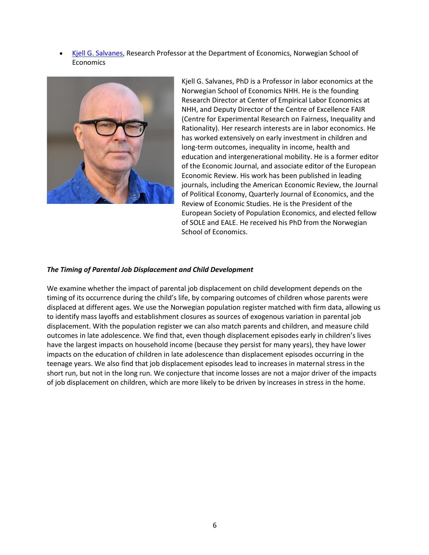• [Kjell G. Salvanes,](https://sites.google.com/view/kjellsalvanes/home) Research Professor at the Department of Economics, Norwegian School of **Economics** 



Kjell G. Salvanes, PhD is a Professor in labor economics at the Norwegian School of Economics NHH. He is the founding Research Director at Center of Empirical Labor Economics at NHH, and Deputy Director of the Centre of Excellence FAIR (Centre for Experimental Research on Fairness, Inequality and Rationality). Her research interests are in labor economics. He has worked extensively on early investment in children and long-term outcomes, inequality in income, health and education and intergenerational mobility. He is a former editor of the Economic Journal, and associate editor of the European Economic Review. His work has been published in leading journals, including the American Economic Review, the Journal of Political Economy, Quarterly Journal of Economics, and the Review of Economic Studies. He is the President of the European Society of Population Economics, and elected fellow of SOLE and EALE. He received his PhD from the Norwegian School of Economics.

#### *The Timing of Parental Job Displacement and Child Development*

We examine whether the impact of parental job displacement on child development depends on the timing of its occurrence during the child's life, by comparing outcomes of children whose parents were displaced at different ages. We use the Norwegian population register matched with firm data, allowing us to identify mass layoffs and establishment closures as sources of exogenous variation in parental job displacement. With the population register we can also match parents and children, and measure child outcomes in late adolescence. We find that, even though displacement episodes early in children's lives have the largest impacts on household income (because they persist for many years), they have lower impacts on the education of children in late adolescence than displacement episodes occurring in the teenage years. We also find that job displacement episodes lead to increases in maternal stress in the short run, but not in the long run. We conjecture that income losses are not a major driver of the impacts of job displacement on children, which are more likely to be driven by increases in stress in the home.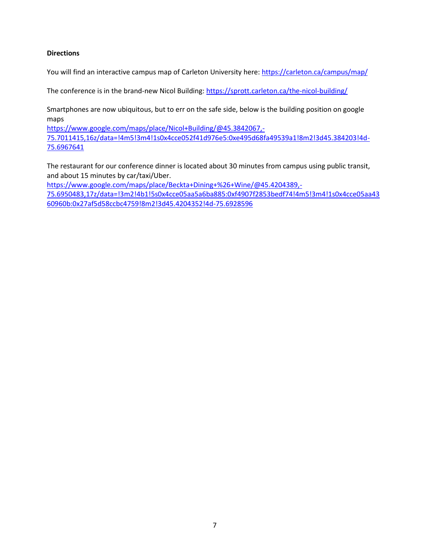#### **Directions**

You will find an interactive campus map of Carleton University here[: https://carleton.ca/campus/map/](https://carleton.ca/campus/map/)

The conference is in the brand-new Nicol Building:<https://sprott.carleton.ca/the-nicol-building/>

Smartphones are now ubiquitous, but to err on the safe side, below is the building position on google maps

[https://www.google.com/maps/place/Nicol+Building/@45.3842067,-](https://www.google.com/maps/place/Nicol+Building/@45.3842067,-75.7011415,16z/data=!4m5!3m4!1s0x4cce052f41d976e5:0xe495d68fa49539a1!8m2!3d45.384203!4d-75.6967641) [75.7011415,16z/data=!4m5!3m4!1s0x4cce052f41d976e5:0xe495d68fa49539a1!8m2!3d45.384203!4d-](https://www.google.com/maps/place/Nicol+Building/@45.3842067,-75.7011415,16z/data=!4m5!3m4!1s0x4cce052f41d976e5:0xe495d68fa49539a1!8m2!3d45.384203!4d-75.6967641)[75.6967641](https://www.google.com/maps/place/Nicol+Building/@45.3842067,-75.7011415,16z/data=!4m5!3m4!1s0x4cce052f41d976e5:0xe495d68fa49539a1!8m2!3d45.384203!4d-75.6967641)

The restaurant for our conference dinner is located about 30 minutes from campus using public transit, and about 15 minutes by car/taxi/Uber.

[https://www.google.com/maps/place/Beckta+Dining+%26+Wine/@45.4204389,-](https://www.google.com/maps/place/Beckta+Dining+%26+Wine/@45.4204389,-75.6950483,17z/data=!3m2!4b1!5s0x4cce05aa5a6ba885:0xf4907f2853bedf74!4m5!3m4!1s0x4cce05aa4360960b:0x27af5d58ccbc4759!8m2!3d45.4204352!4d-75.6928596)

[75.6950483,17z/data=!3m2!4b1!5s0x4cce05aa5a6ba885:0xf4907f2853bedf74!4m5!3m4!1s0x4cce05aa43](https://www.google.com/maps/place/Beckta+Dining+%26+Wine/@45.4204389,-75.6950483,17z/data=!3m2!4b1!5s0x4cce05aa5a6ba885:0xf4907f2853bedf74!4m5!3m4!1s0x4cce05aa4360960b:0x27af5d58ccbc4759!8m2!3d45.4204352!4d-75.6928596) [60960b:0x27af5d58ccbc4759!8m2!3d45.4204352!4d-75.6928596](https://www.google.com/maps/place/Beckta+Dining+%26+Wine/@45.4204389,-75.6950483,17z/data=!3m2!4b1!5s0x4cce05aa5a6ba885:0xf4907f2853bedf74!4m5!3m4!1s0x4cce05aa4360960b:0x27af5d58ccbc4759!8m2!3d45.4204352!4d-75.6928596)